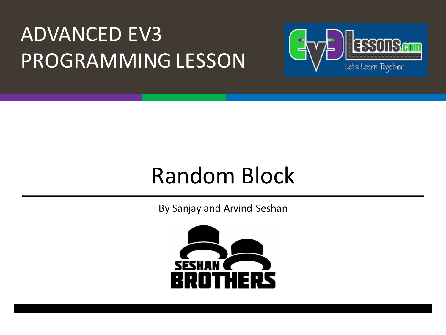#### **ADVANCED EV3** PROGRAMMING LESSON



#### Random Block

By Sanjay and Arvind Seshan

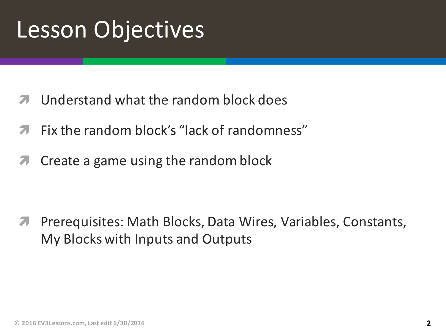### **Lesson Objectives**

- Understand what the random block does
- Fix the random block's "lack of randomness"
- Create a game using the random block 71

Prerequisites: Math Blocks, Data Wires, Variables, Constants,  $\overline{\mathcal{A}}$ My Blocks with Inputs and Outputs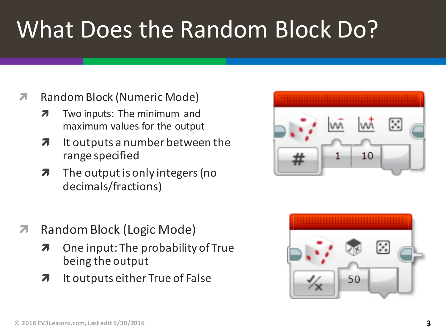## What Does the Random Block Do?

- **7** Random Block (Numeric Mode)
	- $\lambda$  Two inputs: The minimum and maximum values for the output
	- $\lambda$  It outputs a number between the range specified
	- $\lambda$  The output is only integers (no decimals/fractions)
- **7** Random Block (Logic Mode)
	- $\lambda$  One input: The probability of True being the output
	- $\lambda$  It outputs either True of False



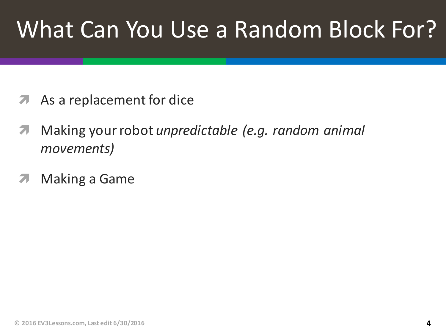### What Can You Use a Random Block For?

- **A** As a replacement for dice
- *A* Making your robot *unpredictable (e.g. random animal movements)*
- **7** Making a Game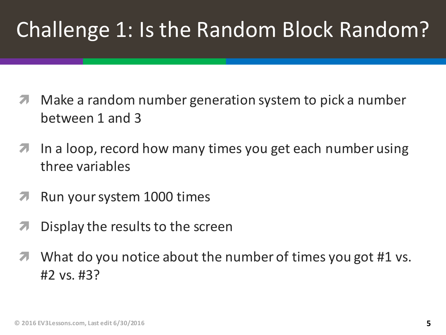#### Challenge 1: Is the Random Block Random?

- Make a random number generation system to pick a number between 1 and 3
- **7** In a loop, record how many times you get each number using three variables
- **7** Run your system 1000 times
- $\blacktriangleright$  Display the results to the screen
- $\blacktriangledown$  What do you notice about the number of times you got #1 vs.  $#2 vs. #3?$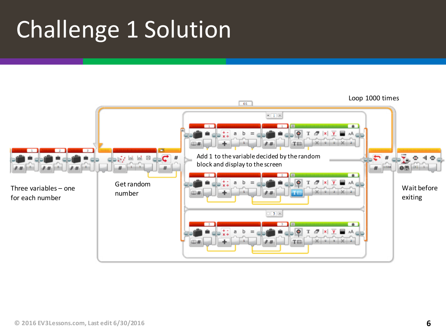## Challenge 1 Solution

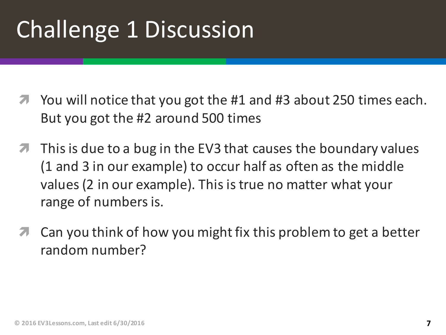## Challenge 1 Discussion

- $\blacktriangledown$  You will notice that you got the #1 and #3 about 250 times each. But you got the #2 around 500 times
- $\blacktriangledown$  This is due to a bug in the EV3 that causes the boundary values (1 and 3 in our example) to occur half as often as the middle values (2 in our example). This is true no matter what your range of numbers is.
- Can you think of how you might fix this problem to get a better random number?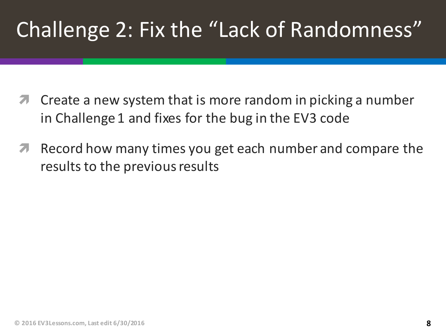#### Challenge 2: Fix the "Lack of Randomness"

- Create a new system that is more random in picking a number in Challenge 1 and fixes for the bug in the EV3 code
- Record how many times you get each number and compare the  $\overline{\phantom{a}}$ results to the previous results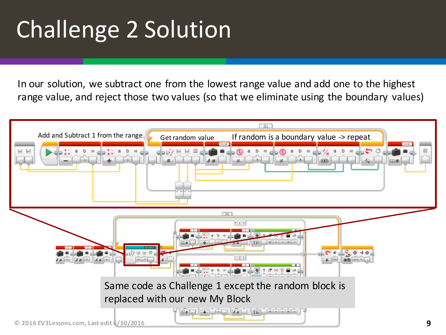# Challenge 2 Solution

In our solution, we subtract one from the lowest range value and add one to the highest range value, and reject those two values (so that we eliminate using the boundary values)

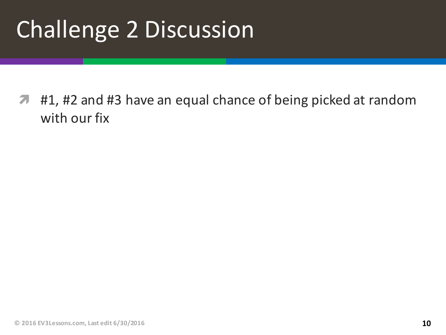## Challenge 2 Discussion

**1** #1, #2 and #3 have an equal chance of being picked at random with our fix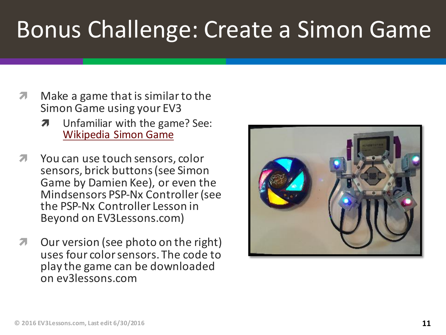### Bonus Challenge: Create a Simon Game

- $\lambda$  Make a game that is similar to the Simon Game using your EV3
	- $\lambda$  Unfamiliar with the game? See: Wikipedia Simon Game
- **7** You can use touch sensors, color sensors, brick buttons (see Simon Game by Damien Kee), or even the Mindsensors PSP-Nx Controller (see the PSP-Nx Controller Lesson in Beyond on EV3Lessons.com)
- *i* Our version (see photo on the right) uses four color sensors. The code to play the game can be downloaded on ev3lessons.com